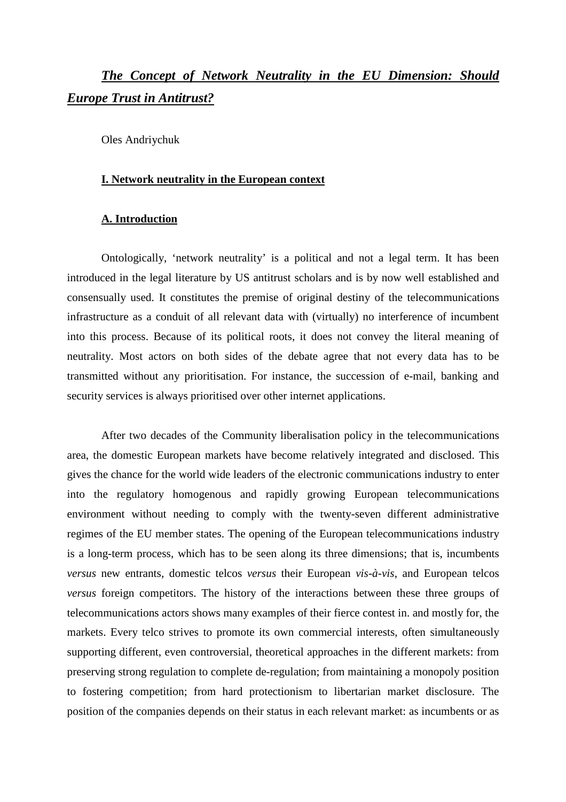# *The Concept of Network Neutrality in the EU Dimension: Should Europe Trust in Antitrust?*

Oles Andriychuk

## **I. Network neutrality in the European context**

# **A. Introduction**

Ontologically, 'network neutrality' is a political and not a legal term. It has been introduced in the legal literature by US antitrust scholars and is by now well established and consensually used. It constitutes the premise of original destiny of the telecommunications infrastructure as a conduit of all relevant data with (virtually) no interference of incumbent into this process. Because of its political roots, it does not convey the literal meaning of neutrality. Most actors on both sides of the debate agree that not every data has to be transmitted without any prioritisation. For instance, the succession of e-mail, banking and security services is always prioritised over other internet applications.

After two decades of the Community liberalisation policy in the telecommunications area, the domestic European markets have become relatively integrated and disclosed. This gives the chance for the world wide leaders of the electronic communications industry to enter into the regulatory homogenous and rapidly growing European telecommunications environment without needing to comply with the twenty-seven different administrative regimes of the EU member states. The opening of the European telecommunications industry is a long-term process, which has to be seen along its three dimensions; that is, incumbents *versus* new entrants, domestic telcos *versus* their European *vis-à-vis*, and European telcos *versus* foreign competitors. The history of the interactions between these three groups of telecommunications actors shows many examples of their fierce contest in. and mostly for, the markets. Every telco strives to promote its own commercial interests, often simultaneously supporting different, even controversial, theoretical approaches in the different markets: from preserving strong regulation to complete de-regulation; from maintaining a monopoly position to fostering competition; from hard protectionism to libertarian market disclosure. The position of the companies depends on their status in each relevant market: as incumbents or as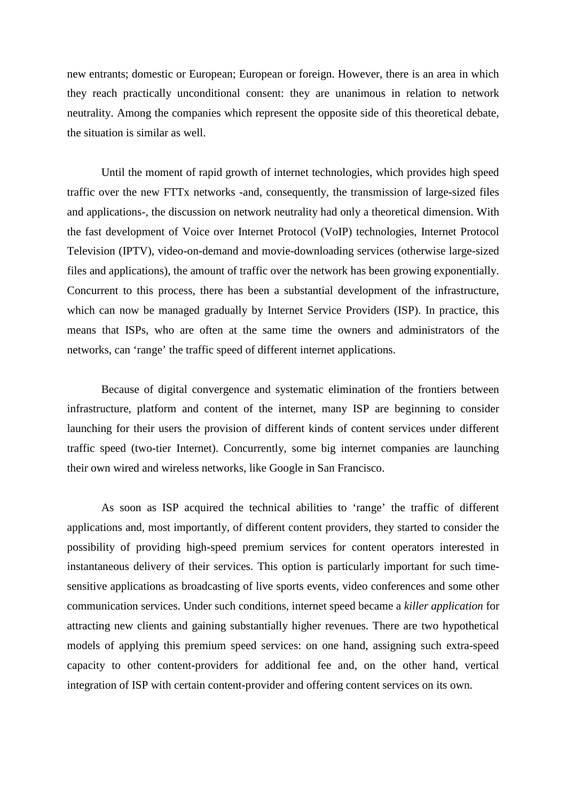new entrants; domestic or European; European or foreign. However, there is an area in which they reach practically unconditional consent: they are unanimous in relation to network neutrality. Among the companies which represent the opposite side of this theoretical debate, the situation is similar as well.

Until the moment of rapid growth of internet technologies, which provides high speed traffic over the new FTTx networks -and, consequently, the transmission of large-sized files and applications-, the discussion on network neutrality had only a theoretical dimension. With the fast development of Voice over Internet Protocol (VoIP) technologies, Internet Protocol Television (IPTV), video-on-demand and movie-downloading services (otherwise large-sized files and applications), the amount of traffic over the network has been growing exponentially. Concurrent to this process, there has been a substantial development of the infrastructure, which can now be managed gradually by Internet Service Providers (ISP). In practice, this means that ISPs, who are often at the same time the owners and administrators of the networks, can 'range' the traffic speed of different internet applications.

Because of digital convergence and systematic elimination of the frontiers between infrastructure, platform and content of the internet, many ISP are beginning to consider launching for their users the provision of different kinds of content services under different traffic speed (two-tier Internet). Concurrently, some big internet companies are launching their own wired and wireless networks, like Google in San Francisco.

As soon as ISP acquired the technical abilities to 'range' the traffic of different applications and, most importantly, of different content providers, they started to consider the possibility of providing high-speed premium services for content operators interested in instantaneous delivery of their services. This option is particularly important for such timesensitive applications as broadcasting of live sports events, video conferences and some other communication services. Under such conditions, internet speed became a *killer application* for attracting new clients and gaining substantially higher revenues. There are two hypothetical models of applying this premium speed services: on one hand, assigning such extra-speed capacity to other content-providers for additional fee and, on the other hand, vertical integration of ISP with certain content-provider and offering content services on its own.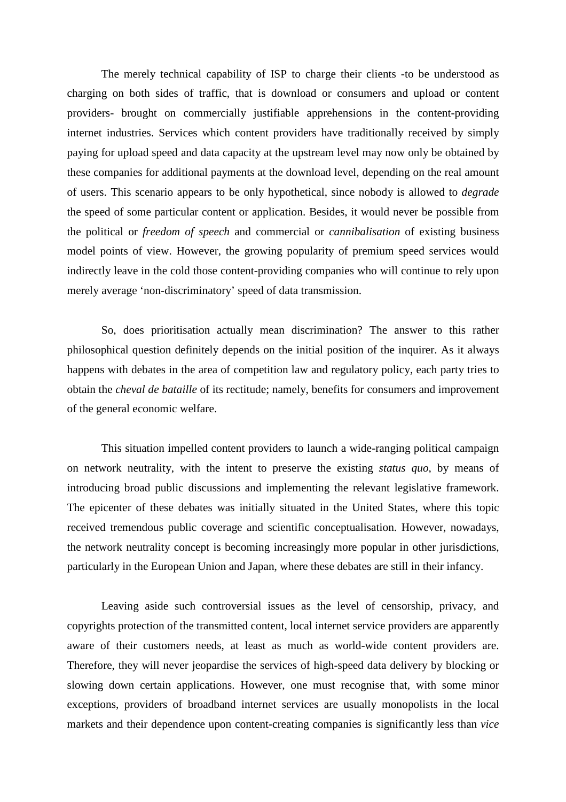The merely technical capability of ISP to charge their clients -to be understood as charging on both sides of traffic, that is download or consumers and upload or content providers- brought on commercially justifiable apprehensions in the content-providing internet industries. Services which content providers have traditionally received by simply paying for upload speed and data capacity at the upstream level may now only be obtained by these companies for additional payments at the download level, depending on the real amount of users. This scenario appears to be only hypothetical, since nobody is allowed to *degrade* the speed of some particular content or application. Besides, it would never be possible from the political or *freedom of speech* and commercial or *cannibalisation* of existing business model points of view. However, the growing popularity of premium speed services would indirectly leave in the cold those content-providing companies who will continue to rely upon merely average 'non-discriminatory' speed of data transmission.

So, does prioritisation actually mean discrimination? The answer to this rather philosophical question definitely depends on the initial position of the inquirer. As it always happens with debates in the area of competition law and regulatory policy, each party tries to obtain the *cheval de bataille* of its rectitude; namely, benefits for consumers and improvement of the general economic welfare.

This situation impelled content providers to launch a wide-ranging political campaign on network neutrality, with the intent to preserve the existing *status quo*, by means of introducing broad public discussions and implementing the relevant legislative framework. The epicenter of these debates was initially situated in the United States, where this topic received tremendous public coverage and scientific conceptualisation. However, nowadays, the network neutrality concept is becoming increasingly more popular in other jurisdictions, particularly in the European Union and Japan, where these debates are still in their infancy.

Leaving aside such controversial issues as the level of censorship, privacy, and copyrights protection of the transmitted content, local internet service providers are apparently aware of their customers needs, at least as much as world-wide content providers are. Therefore, they will never jeopardise the services of high-speed data delivery by blocking or slowing down certain applications. However, one must recognise that, with some minor exceptions, providers of broadband internet services are usually monopolists in the local markets and their dependence upon content-creating companies is significantly less than *vice*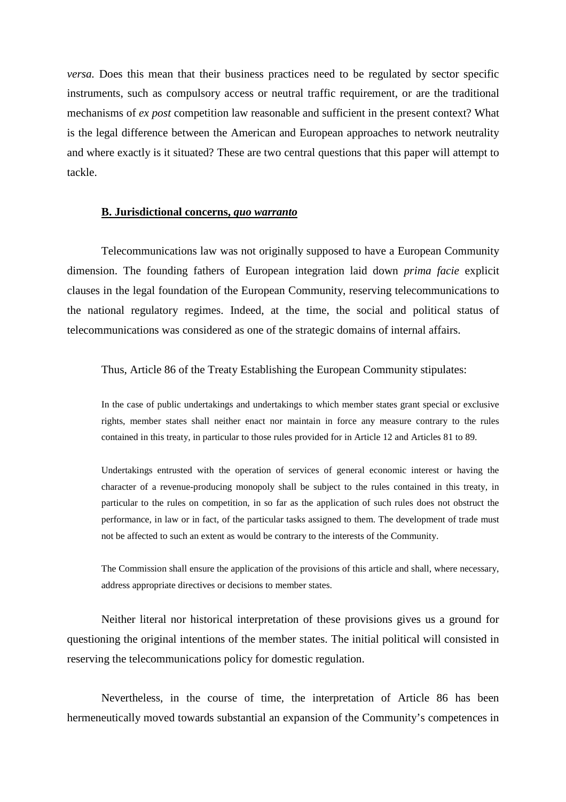*versa.* Does this mean that their business practices need to be regulated by sector specific instruments, such as compulsory access or neutral traffic requirement, or are the traditional mechanisms of *ex post* competition law reasonable and sufficient in the present context? What is the legal difference between the American and European approaches to network neutrality and where exactly is it situated? These are two central questions that this paper will attempt to tackle.

#### **B. Jurisdictional concerns,** *quo warranto*

Telecommunications law was not originally supposed to have a European Community dimension. The founding fathers of European integration laid down *prima facie* explicit clauses in the legal foundation of the European Community, reserving telecommunications to the national regulatory regimes. Indeed, at the time, the social and political status of telecommunications was considered as one of the strategic domains of internal affairs.

#### Thus, Article 86 of the Treaty Establishing the European Community stipulates:

In the case of public undertakings and undertakings to which member states grant special or exclusive rights, member states shall neither enact nor maintain in force any measure contrary to the rules contained in this treaty, in particular to those rules provided for in Article 12 and Articles 81 to 89.

Undertakings entrusted with the operation of services of general economic interest or having the character of a revenue-producing monopoly shall be subject to the rules contained in this treaty, in particular to the rules on competition, in so far as the application of such rules does not obstruct the performance, in law or in fact, of the particular tasks assigned to them. The development of trade must not be affected to such an extent as would be contrary to the interests of the Community.

The Commission shall ensure the application of the provisions of this article and shall, where necessary, address appropriate directives or decisions to member states.

Neither literal nor historical interpretation of these provisions gives us a ground for questioning the original intentions of the member states. The initial political will consisted in reserving the telecommunications policy for domestic regulation.

Nevertheless, in the course of time, the interpretation of Article 86 has been hermeneutically moved towards substantial an expansion of the Community's competences in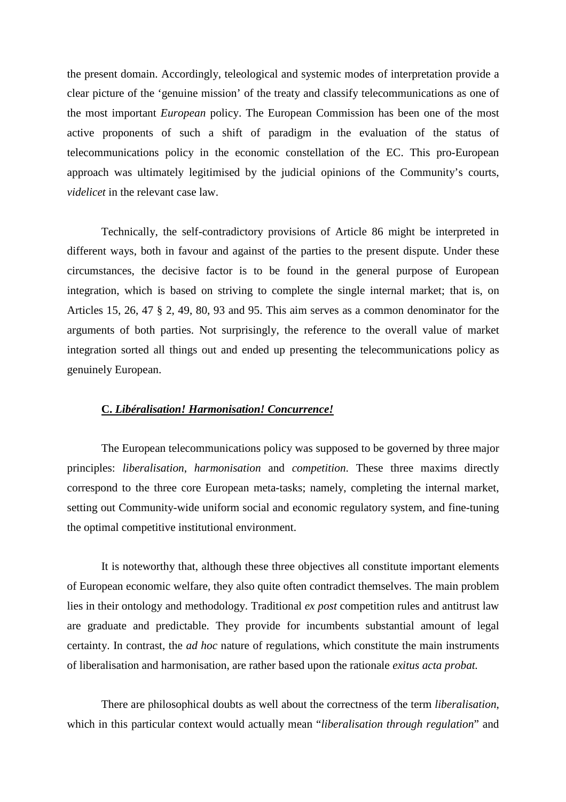the present domain. Accordingly, teleological and systemic modes of interpretation provide a clear picture of the 'genuine mission' of the treaty and classify telecommunications as one of the most important *European* policy. The European Commission has been one of the most active proponents of such a shift of paradigm in the evaluation of the status of telecommunications policy in the economic constellation of the EC. This pro-European approach was ultimately legitimised by the judicial opinions of the Community's courts, *videlicet* in the relevant case law.

Technically, the self-contradictory provisions of Article 86 might be interpreted in different ways, both in favour and against of the parties to the present dispute. Under these circumstances, the decisive factor is to be found in the general purpose of European integration, which is based on striving to complete the single internal market; that is, on Articles 15, 26, 47 § 2, 49, 80, 93 and 95. This aim serves as a common denominator for the arguments of both parties. Not surprisingly, the reference to the overall value of market integration sorted all things out and ended up presenting the telecommunications policy as genuinely European.

## **C.** *Libéralisation! Harmonisation! Concurrence!*

The European telecommunications policy was supposed to be governed by three major principles: *liberalisation*, *harmonisation* and *competition*. These three maxims directly correspond to the three core European meta-tasks; namely, completing the internal market, setting out Community-wide uniform social and economic regulatory system, and fine-tuning the optimal competitive institutional environment.

It is noteworthy that, although these three objectives all constitute important elements of European economic welfare, they also quite often contradict themselves. The main problem lies in their ontology and methodology. Traditional *ex post* competition rules and antitrust law are graduate and predictable. They provide for incumbents substantial amount of legal certainty. In contrast, the *ad hoc* nature of regulations, which constitute the main instruments of liberalisation and harmonisation, are rather based upon the rationale *exitus acta probat.* 

There are philosophical doubts as well about the correctness of the term *liberalisation*, which in this particular context would actually mean "*liberalisation through regulation*" and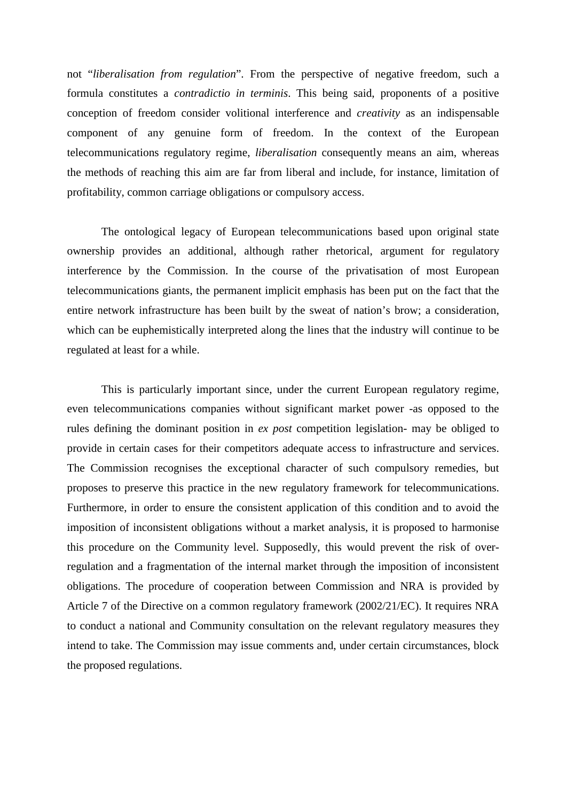not "*liberalisation from regulation*". From the perspective of negative freedom, such a formula constitutes a *contradictio in terminis*. This being said, proponents of a positive conception of freedom consider volitional interference and *creativity* as an indispensable component of any genuine form of freedom. In the context of the European telecommunications regulatory regime, *liberalisation* consequently means an aim, whereas the methods of reaching this aim are far from liberal and include, for instance, limitation of profitability, common carriage obligations or compulsory access.

The ontological legacy of European telecommunications based upon original state ownership provides an additional, although rather rhetorical, argument for regulatory interference by the Commission. In the course of the privatisation of most European telecommunications giants, the permanent implicit emphasis has been put on the fact that the entire network infrastructure has been built by the sweat of nation's brow; a consideration, which can be euphemistically interpreted along the lines that the industry will continue to be regulated at least for a while.

This is particularly important since, under the current European regulatory regime, even telecommunications companies without significant market power -as opposed to the rules defining the dominant position in *ex post* competition legislation- may be obliged to provide in certain cases for their competitors adequate access to infrastructure and services. The Commission recognises the exceptional character of such compulsory remedies, but proposes to preserve this practice in the new regulatory framework for telecommunications. Furthermore, in order to ensure the consistent application of this condition and to avoid the imposition of inconsistent obligations without a market analysis, it is proposed to harmonise this procedure on the Community level. Supposedly, this would prevent the risk of overregulation and a fragmentation of the internal market through the imposition of inconsistent obligations. The procedure of cooperation between Commission and NRA is provided by Article 7 of the Directive on a common regulatory framework (2002/21/EC). It requires NRA to conduct a national and Community consultation on the relevant regulatory measures they intend to take. The Commission may issue comments and, under certain circumstances, block the proposed regulations.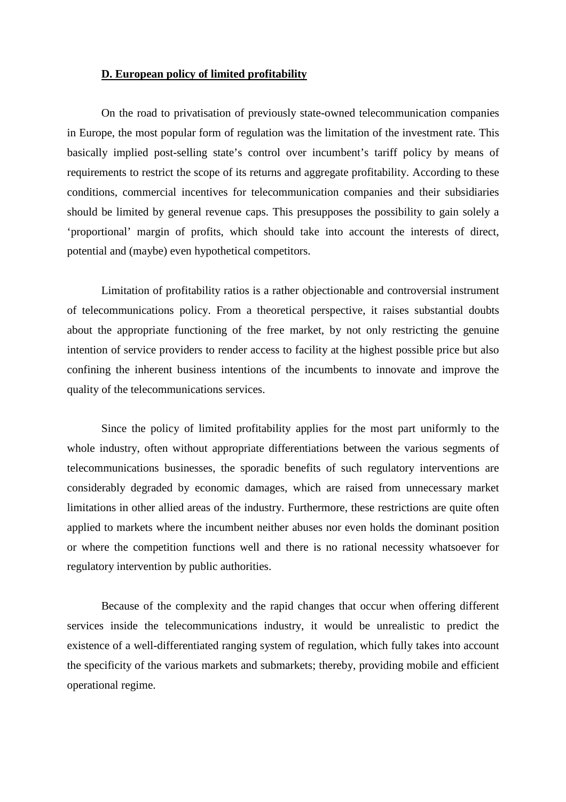## **D. European policy of limited profitability**

On the road to privatisation of previously state-owned telecommunication companies in Europe, the most popular form of regulation was the limitation of the investment rate. This basically implied post-selling state's control over incumbent's tariff policy by means of requirements to restrict the scope of its returns and aggregate profitability. According to these conditions, commercial incentives for telecommunication companies and their subsidiaries should be limited by general revenue caps. This presupposes the possibility to gain solely a 'proportional' margin of profits, which should take into account the interests of direct, potential and (maybe) even hypothetical competitors.

Limitation of profitability ratios is a rather objectionable and controversial instrument of telecommunications policy. From a theoretical perspective, it raises substantial doubts about the appropriate functioning of the free market, by not only restricting the genuine intention of service providers to render access to facility at the highest possible price but also confining the inherent business intentions of the incumbents to innovate and improve the quality of the telecommunications services.

Since the policy of limited profitability applies for the most part uniformly to the whole industry, often without appropriate differentiations between the various segments of telecommunications businesses, the sporadic benefits of such regulatory interventions are considerably degraded by economic damages, which are raised from unnecessary market limitations in other allied areas of the industry. Furthermore, these restrictions are quite often applied to markets where the incumbent neither abuses nor even holds the dominant position or where the competition functions well and there is no rational necessity whatsoever for regulatory intervention by public authorities.

Because of the complexity and the rapid changes that occur when offering different services inside the telecommunications industry, it would be unrealistic to predict the existence of a well-differentiated ranging system of regulation, which fully takes into account the specificity of the various markets and submarkets; thereby, providing mobile and efficient operational regime.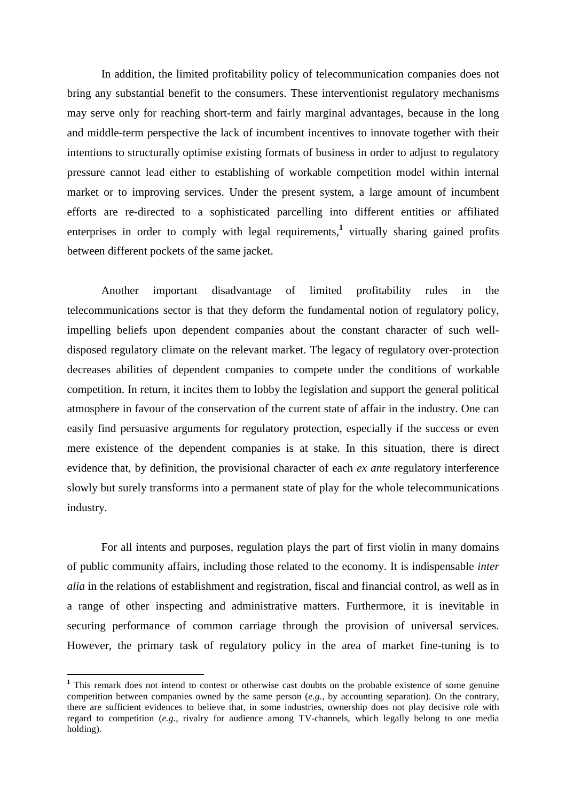In addition, the limited profitability policy of telecommunication companies does not bring any substantial benefit to the consumers. These interventionist regulatory mechanisms may serve only for reaching short-term and fairly marginal advantages, because in the long and middle-term perspective the lack of incumbent incentives to innovate together with their intentions to structurally optimise existing formats of business in order to adjust to regulatory pressure cannot lead either to establishing of workable competition model within internal market or to improving services. Under the present system, a large amount of incumbent efforts are re-directed to a sophisticated parcelling into different entities or affiliated enterprises in order to comply with legal requirements,<sup>1</sup> virtually sharing gained profits between different pockets of the same jacket.

Another important disadvantage of limited profitability rules in the telecommunications sector is that they deform the fundamental notion of regulatory policy, impelling beliefs upon dependent companies about the constant character of such welldisposed regulatory climate on the relevant market. The legacy of regulatory over-protection decreases abilities of dependent companies to compete under the conditions of workable competition. In return, it incites them to lobby the legislation and support the general political atmosphere in favour of the conservation of the current state of affair in the industry. One can easily find persuasive arguments for regulatory protection, especially if the success or even mere existence of the dependent companies is at stake. In this situation, there is direct evidence that, by definition, the provisional character of each *ex ante* regulatory interference slowly but surely transforms into a permanent state of play for the whole telecommunications industry.

For all intents and purposes, regulation plays the part of first violin in many domains of public community affairs, including those related to the economy. It is indispensable *inter alia* in the relations of establishment and registration, fiscal and financial control, as well as in a range of other inspecting and administrative matters. Furthermore, it is inevitable in securing performance of common carriage through the provision of universal services. However, the primary task of regulatory policy in the area of market fine-tuning is to

 $\overline{a}$ 

<sup>&</sup>lt;sup>1</sup> This remark does not intend to contest or otherwise cast doubts on the probable existence of some genuine competition between companies owned by the same person (*e.g.*, by accounting separation). On the contrary, there are sufficient evidences to believe that, in some industries, ownership does not play decisive role with regard to competition (*e.g.*, rivalry for audience among TV-channels, which legally belong to one media holding).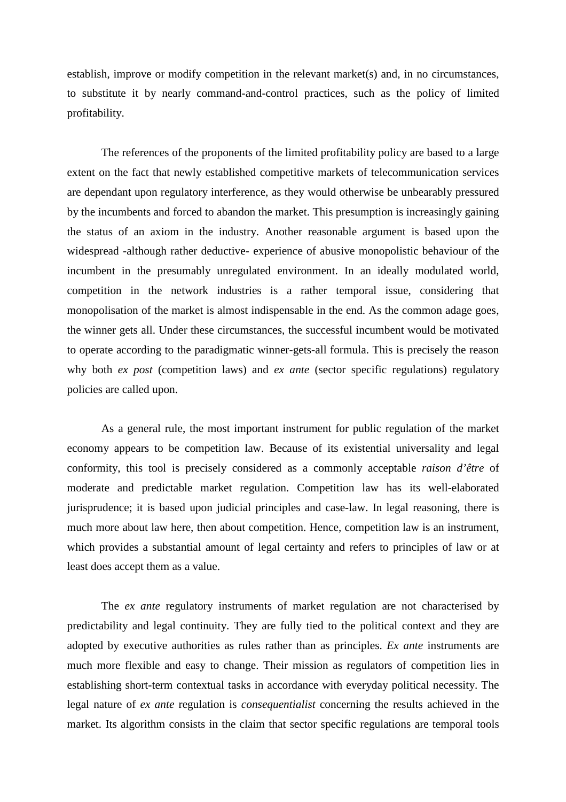establish, improve or modify competition in the relevant market(s) and, in no circumstances, to substitute it by nearly command-and-control practices, such as the policy of limited profitability.

The references of the proponents of the limited profitability policy are based to a large extent on the fact that newly established competitive markets of telecommunication services are dependant upon regulatory interference, as they would otherwise be unbearably pressured by the incumbents and forced to abandon the market. This presumption is increasingly gaining the status of an axiom in the industry. Another reasonable argument is based upon the widespread -although rather deductive- experience of abusive monopolistic behaviour of the incumbent in the presumably unregulated environment. In an ideally modulated world, competition in the network industries is a rather temporal issue, considering that monopolisation of the market is almost indispensable in the end. As the common adage goes, the winner gets all. Under these circumstances, the successful incumbent would be motivated to operate according to the paradigmatic winner-gets-all formula. This is precisely the reason why both *ex post* (competition laws) and *ex ante* (sector specific regulations) regulatory policies are called upon.

As a general rule, the most important instrument for public regulation of the market economy appears to be competition law. Because of its existential universality and legal conformity, this tool is precisely considered as a commonly acceptable *raison d'être* of moderate and predictable market regulation. Competition law has its well-elaborated jurisprudence; it is based upon judicial principles and case-law. In legal reasoning, there is much more about law here, then about competition. Hence, competition law is an instrument, which provides a substantial amount of legal certainty and refers to principles of law or at least does accept them as a value.

The *ex ante* regulatory instruments of market regulation are not characterised by predictability and legal continuity. They are fully tied to the political context and they are adopted by executive authorities as rules rather than as principles. *Ex ante* instruments are much more flexible and easy to change. Their mission as regulators of competition lies in establishing short-term contextual tasks in accordance with everyday political necessity. The legal nature of *ex ante* regulation is *consequentialist* concerning the results achieved in the market. Its algorithm consists in the claim that sector specific regulations are temporal tools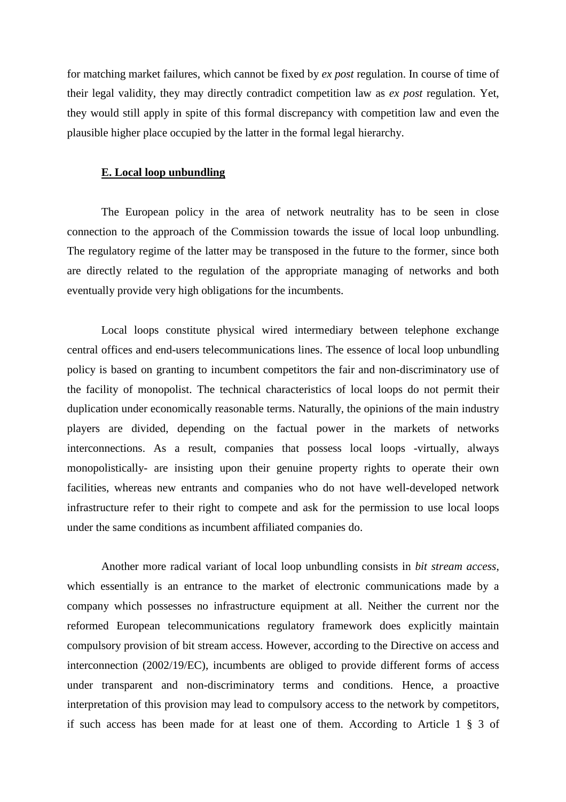for matching market failures, which cannot be fixed by *ex post* regulation. In course of time of their legal validity, they may directly contradict competition law as *ex post* regulation. Yet, they would still apply in spite of this formal discrepancy with competition law and even the plausible higher place occupied by the latter in the formal legal hierarchy.

# **E. Local loop unbundling**

The European policy in the area of network neutrality has to be seen in close connection to the approach of the Commission towards the issue of local loop unbundling. The regulatory regime of the latter may be transposed in the future to the former, since both are directly related to the regulation of the appropriate managing of networks and both eventually provide very high obligations for the incumbents.

Local loops constitute physical wired intermediary between telephone exchange central offices and end-users telecommunications lines. The essence of local loop unbundling policy is based on granting to incumbent competitors the fair and non-discriminatory use of the facility of monopolist. The technical characteristics of local loops do not permit their duplication under economically reasonable terms. Naturally, the opinions of the main industry players are divided, depending on the factual power in the markets of networks interconnections. As a result, companies that possess local loops -virtually, always monopolistically- are insisting upon their genuine property rights to operate their own facilities, whereas new entrants and companies who do not have well-developed network infrastructure refer to their right to compete and ask for the permission to use local loops under the same conditions as incumbent affiliated companies do.

Another more radical variant of local loop unbundling consists in *bit stream access*, which essentially is an entrance to the market of electronic communications made by a company which possesses no infrastructure equipment at all. Neither the current nor the reformed European telecommunications regulatory framework does explicitly maintain compulsory provision of bit stream access. However, according to the Directive on access and interconnection (2002/19/EC), incumbents are obliged to provide different forms of access under transparent and non-discriminatory terms and conditions. Hence, a proactive interpretation of this provision may lead to compulsory access to the network by competitors, if such access has been made for at least one of them. According to Article 1 § 3 of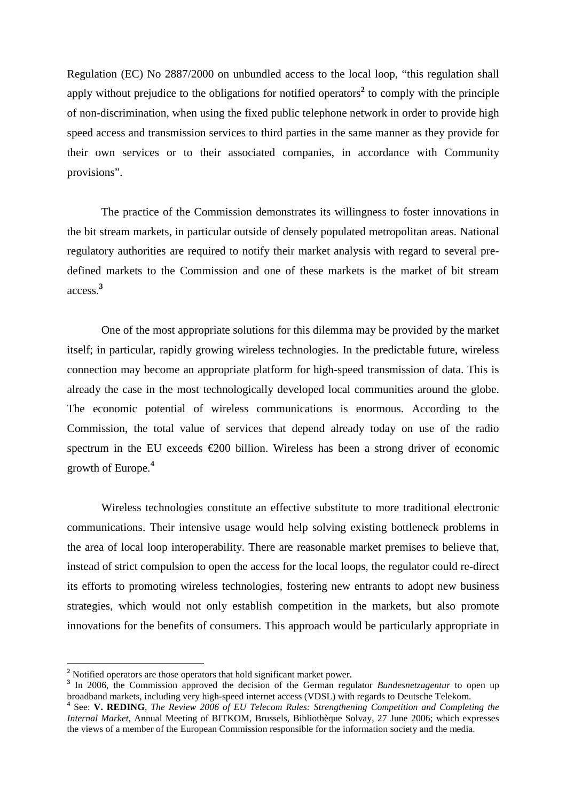Regulation (EC) No 2887/2000 on unbundled access to the local loop, "this regulation shall apply without prejudice to the obligations for notified operators<sup>2</sup> to comply with the principle of non-discrimination, when using the fixed public telephone network in order to provide high speed access and transmission services to third parties in the same manner as they provide for their own services or to their associated companies, in accordance with Community provisions".

The practice of the Commission demonstrates its willingness to foster innovations in the bit stream markets, in particular outside of densely populated metropolitan areas. National regulatory authorities are required to notify their market analysis with regard to several predefined markets to the Commission and one of these markets is the market of bit stream access.**<sup>3</sup>**

One of the most appropriate solutions for this dilemma may be provided by the market itself; in particular, rapidly growing wireless technologies. In the predictable future, wireless connection may become an appropriate platform for high-speed transmission of data. This is already the case in the most technologically developed local communities around the globe. The economic potential of wireless communications is enormous. According to the Commission, the total value of services that depend already today on use of the radio spectrum in the EU exceeds  $\epsilon$ 200 billion. Wireless has been a strong driver of economic growth of Europe.**<sup>4</sup>**

Wireless technologies constitute an effective substitute to more traditional electronic communications. Their intensive usage would help solving existing bottleneck problems in the area of local loop interoperability. There are reasonable market premises to believe that, instead of strict compulsion to open the access for the local loops, the regulator could re-direct its efforts to promoting wireless technologies, fostering new entrants to adopt new business strategies, which would not only establish competition in the markets, but also promote innovations for the benefits of consumers. This approach would be particularly appropriate in

 $\overline{a}$ 

<sup>&</sup>lt;sup>2</sup> Notified operators are those operators that hold significant market power.

<sup>&</sup>lt;sup>3</sup> In 2006, the Commission approved the decision of the German regulator *Bundesnetzagentur* to open up broadband markets, including very high-speed internet access (VDSL) with regards to Deutsche Telekom.

**<sup>4</sup>** See: **V. REDING**, *The Review 2006 of EU Telecom Rules: Strengthening Competition and Completing the Internal Market*, Annual Meeting of BITKOM, Brussels, Bibliothèque Solvay, 27 June 2006; which expresses the views of a member of the European Commission responsible for the information society and the media.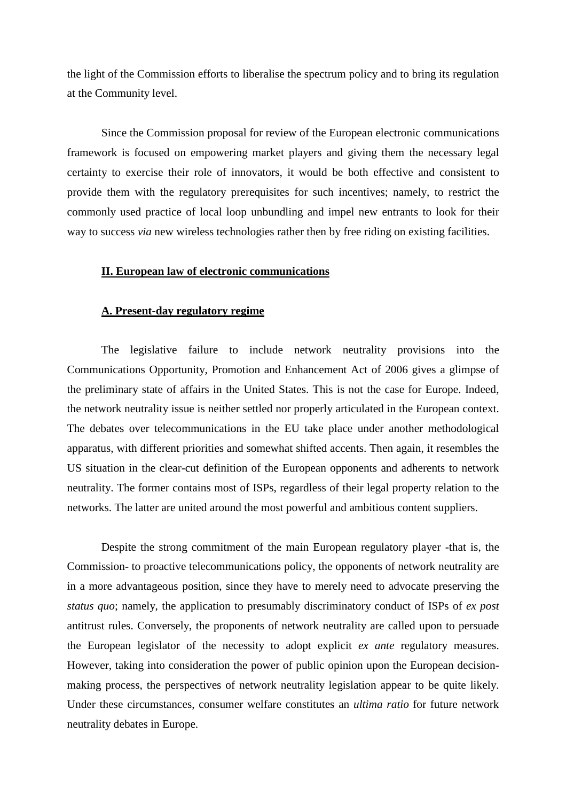the light of the Commission efforts to liberalise the spectrum policy and to bring its regulation at the Community level.

Since the Commission proposal for review of the European electronic communications framework is focused on empowering market players and giving them the necessary legal certainty to exercise their role of innovators, it would be both effective and consistent to provide them with the regulatory prerequisites for such incentives; namely, to restrict the commonly used practice of local loop unbundling and impel new entrants to look for their way to success *via* new wireless technologies rather then by free riding on existing facilities.

#### **II. European law of electronic communications**

#### **A. Present-day regulatory regime**

The legislative failure to include network neutrality provisions into the Communications Opportunity, Promotion and Enhancement Act of 2006 gives a glimpse of the preliminary state of affairs in the United States. This is not the case for Europe. Indeed, the network neutrality issue is neither settled nor properly articulated in the European context. The debates over telecommunications in the EU take place under another methodological apparatus, with different priorities and somewhat shifted accents. Then again, it resembles the US situation in the clear-cut definition of the European opponents and adherents to network neutrality. The former contains most of ISPs, regardless of their legal property relation to the networks. The latter are united around the most powerful and ambitious content suppliers.

Despite the strong commitment of the main European regulatory player -that is, the Commission- to proactive telecommunications policy, the opponents of network neutrality are in a more advantageous position, since they have to merely need to advocate preserving the *status quo*; namely, the application to presumably discriminatory conduct of ISPs of *ex post* antitrust rules. Conversely, the proponents of network neutrality are called upon to persuade the European legislator of the necessity to adopt explicit *ex ante* regulatory measures. However, taking into consideration the power of public opinion upon the European decisionmaking process, the perspectives of network neutrality legislation appear to be quite likely. Under these circumstances, consumer welfare constitutes an *ultima ratio* for future network neutrality debates in Europe.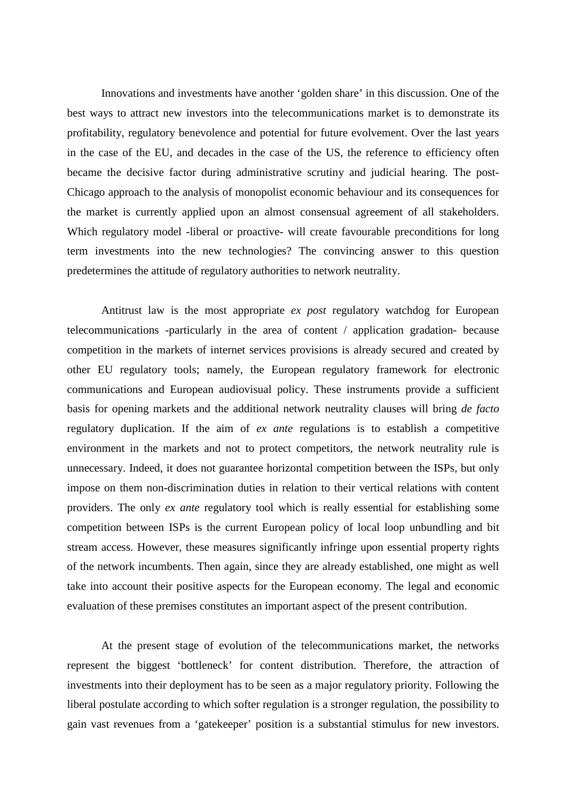Innovations and investments have another 'golden share' in this discussion. One of the best ways to attract new investors into the telecommunications market is to demonstrate its profitability, regulatory benevolence and potential for future evolvement. Over the last years in the case of the EU, and decades in the case of the US, the reference to efficiency often became the decisive factor during administrative scrutiny and judicial hearing. The post-Chicago approach to the analysis of monopolist economic behaviour and its consequences for the market is currently applied upon an almost consensual agreement of all stakeholders. Which regulatory model -liberal or proactive- will create favourable preconditions for long term investments into the new technologies? The convincing answer to this question predetermines the attitude of regulatory authorities to network neutrality.

Antitrust law is the most appropriate *ex post* regulatory watchdog for European telecommunications -particularly in the area of content / application gradation- because competition in the markets of internet services provisions is already secured and created by other EU regulatory tools; namely, the European regulatory framework for electronic communications and European audiovisual policy. These instruments provide a sufficient basis for opening markets and the additional network neutrality clauses will bring *de facto* regulatory duplication. If the aim of *ex ante* regulations is to establish a competitive environment in the markets and not to protect competitors, the network neutrality rule is unnecessary. Indeed, it does not guarantee horizontal competition between the ISPs, but only impose on them non-discrimination duties in relation to their vertical relations with content providers. The only *ex ante* regulatory tool which is really essential for establishing some competition between ISPs is the current European policy of local loop unbundling and bit stream access. However, these measures significantly infringe upon essential property rights of the network incumbents. Then again, since they are already established, one might as well take into account their positive aspects for the European economy. The legal and economic evaluation of these premises constitutes an important aspect of the present contribution.

At the present stage of evolution of the telecommunications market, the networks represent the biggest 'bottleneck' for content distribution. Therefore, the attraction of investments into their deployment has to be seen as a major regulatory priority. Following the liberal postulate according to which softer regulation is a stronger regulation, the possibility to gain vast revenues from a 'gatekeeper' position is a substantial stimulus for new investors.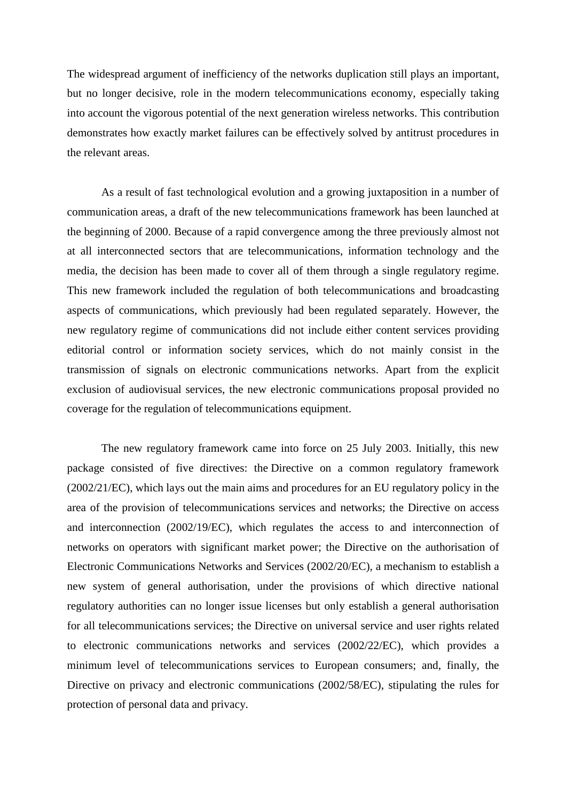The widespread argument of inefficiency of the networks duplication still plays an important, but no longer decisive, role in the modern telecommunications economy, especially taking into account the vigorous potential of the next generation wireless networks. This contribution demonstrates how exactly market failures can be effectively solved by antitrust procedures in the relevant areas.

As a result of fast technological evolution and a growing juxtaposition in a number of communication areas, a draft of the new telecommunications framework has been launched at the beginning of 2000. Because of a rapid convergence among the three previously almost not at all interconnected sectors that are telecommunications, information technology and the media, the decision has been made to cover all of them through a single regulatory regime. This new framework included the regulation of both telecommunications and broadcasting aspects of communications, which previously had been regulated separately. However, the new regulatory regime of communications did not include either content services providing editorial control or information society services, which do not mainly consist in the transmission of signals on electronic communications networks. Apart from the explicit exclusion of audiovisual services, the new electronic communications proposal provided no coverage for the regulation of telecommunications equipment.

The new regulatory framework came into force on 25 July 2003. Initially, this new package consisted of five directives: the Directive on a common regulatory framework (2002/21/EC), which lays out the main aims and procedures for an EU regulatory policy in the area of the provision of telecommunications services and networks; the Directive on access and interconnection (2002/19/EC), which regulates the access to and interconnection of networks on operators with significant market power; the Directive on the authorisation of Electronic Communications Networks and Services (2002/20/EC), a mechanism to establish a new system of general authorisation, under the provisions of which directive national regulatory authorities can no longer issue licenses but only establish a general authorisation for all telecommunications services; the Directive on universal service and user rights related to electronic communications networks and services (2002/22/EC), which provides a minimum level of telecommunications services to European consumers; and, finally, the Directive on privacy and electronic communications (2002/58/EC), stipulating the rules for protection of personal data and privacy.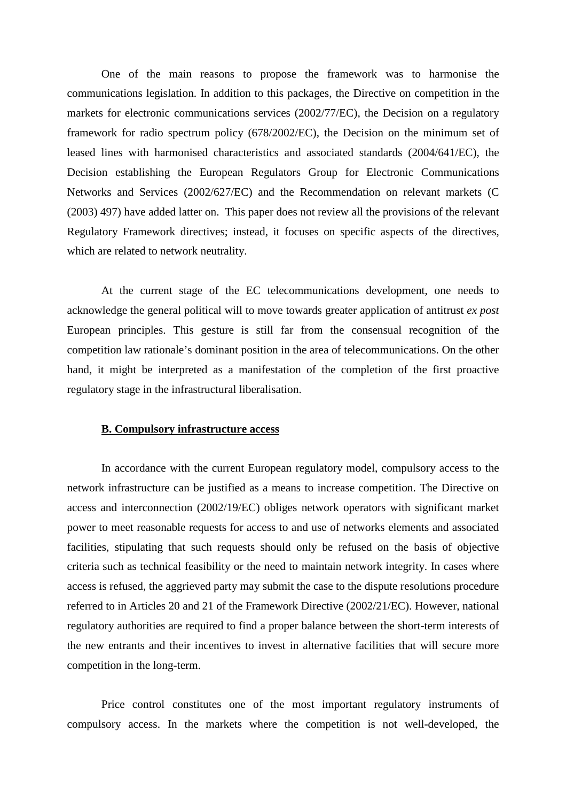One of the main reasons to propose the framework was to harmonise the communications legislation. In addition to this packages, the Directive on competition in the markets for electronic communications services (2002/77/EC), the Decision on a regulatory framework for radio spectrum policy (678/2002/EC), the Decision on the minimum set of leased lines with harmonised characteristics and associated standards (2004/641/EC), the Decision establishing the European Regulators Group for Electronic Communications Networks and Services (2002/627/EC) and the Recommendation on relevant markets (C (2003) 497) have added latter on. This paper does not review all the provisions of the relevant Regulatory Framework directives; instead, it focuses on specific aspects of the directives, which are related to network neutrality.

At the current stage of the EC telecommunications development, one needs to acknowledge the general political will to move towards greater application of antitrust *ex post* European principles. This gesture is still far from the consensual recognition of the competition law rationale's dominant position in the area of telecommunications. On the other hand, it might be interpreted as a manifestation of the completion of the first proactive regulatory stage in the infrastructural liberalisation.

## **B. Compulsory infrastructure access**

In accordance with the current European regulatory model, compulsory access to the network infrastructure can be justified as a means to increase competition. The Directive on access and interconnection (2002/19/EC) obliges network operators with significant market power to meet reasonable requests for access to and use of networks elements and associated facilities, stipulating that such requests should only be refused on the basis of objective criteria such as technical feasibility or the need to maintain network integrity. In cases where access is refused, the aggrieved party may submit the case to the dispute resolutions procedure referred to in Articles 20 and 21 of the Framework Directive (2002/21/EC). However, national regulatory authorities are required to find a proper balance between the short-term interests of the new entrants and their incentives to invest in alternative facilities that will secure more competition in the long-term.

Price control constitutes one of the most important regulatory instruments of compulsory access. In the markets where the competition is not well-developed, the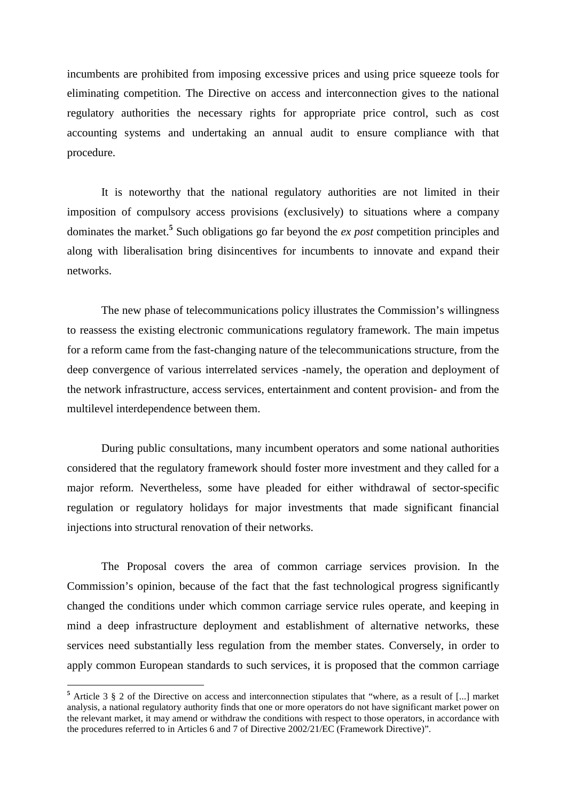incumbents are prohibited from imposing excessive prices and using price squeeze tools for eliminating competition. The Directive on access and interconnection gives to the national regulatory authorities the necessary rights for appropriate price control, such as cost accounting systems and undertaking an annual audit to ensure compliance with that procedure.

It is noteworthy that the national regulatory authorities are not limited in their imposition of compulsory access provisions (exclusively) to situations where a company dominates the market.**<sup>5</sup>** Such obligations go far beyond the *ex post* competition principles and along with liberalisation bring disincentives for incumbents to innovate and expand their networks.

The new phase of telecommunications policy illustrates the Commission's willingness to reassess the existing electronic communications regulatory framework. The main impetus for a reform came from the fast-changing nature of the telecommunications structure, from the deep convergence of various interrelated services -namely, the operation and deployment of the network infrastructure, access services, entertainment and content provision- and from the multilevel interdependence between them.

During public consultations, many incumbent operators and some national authorities considered that the regulatory framework should foster more investment and they called for a major reform. Nevertheless, some have pleaded for either withdrawal of sector-specific regulation or regulatory holidays for major investments that made significant financial injections into structural renovation of their networks.

The Proposal covers the area of common carriage services provision. In the Commission's opinion, because of the fact that the fast technological progress significantly changed the conditions under which common carriage service rules operate, and keeping in mind a deep infrastructure deployment and establishment of alternative networks, these services need substantially less regulation from the member states. Conversely, in order to apply common European standards to such services, it is proposed that the common carriage

<sup>&</sup>lt;sup>5</sup> Article 3 § 2 of the Directive on access and interconnection stipulates that "where, as a result of [...] market analysis, a national regulatory authority finds that one or more operators do not have significant market power on the relevant market, it may amend or withdraw the conditions with respect to those operators, in accordance with the procedures referred to in Articles 6 and 7 of Directive 2002/21/EC (Framework Directive)".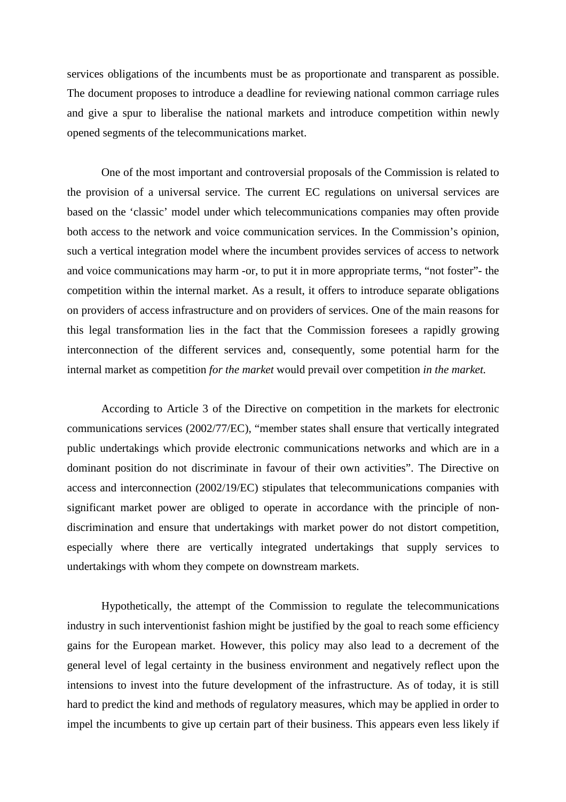services obligations of the incumbents must be as proportionate and transparent as possible. The document proposes to introduce a deadline for reviewing national common carriage rules and give a spur to liberalise the national markets and introduce competition within newly opened segments of the telecommunications market.

One of the most important and controversial proposals of the Commission is related to the provision of a universal service. The current EC regulations on universal services are based on the 'classic' model under which telecommunications companies may often provide both access to the network and voice communication services. In the Commission's opinion, such a vertical integration model where the incumbent provides services of access to network and voice communications may harm -or, to put it in more appropriate terms, "not foster"- the competition within the internal market. As a result, it offers to introduce separate obligations on providers of access infrastructure and on providers of services. One of the main reasons for this legal transformation lies in the fact that the Commission foresees a rapidly growing interconnection of the different services and, consequently, some potential harm for the internal market as competition *for the market* would prevail over competition *in the market.* 

According to Article 3 of the Directive on competition in the markets for electronic communications services (2002/77/EC), "member states shall ensure that vertically integrated public undertakings which provide electronic communications networks and which are in a dominant position do not discriminate in favour of their own activities". The Directive on access and interconnection (2002/19/EC) stipulates that telecommunications companies with significant market power are obliged to operate in accordance with the principle of nondiscrimination and ensure that undertakings with market power do not distort competition, especially where there are vertically integrated undertakings that supply services to undertakings with whom they compete on downstream markets.

Hypothetically, the attempt of the Commission to regulate the telecommunications industry in such interventionist fashion might be justified by the goal to reach some efficiency gains for the European market. However, this policy may also lead to a decrement of the general level of legal certainty in the business environment and negatively reflect upon the intensions to invest into the future development of the infrastructure. As of today, it is still hard to predict the kind and methods of regulatory measures, which may be applied in order to impel the incumbents to give up certain part of their business. This appears even less likely if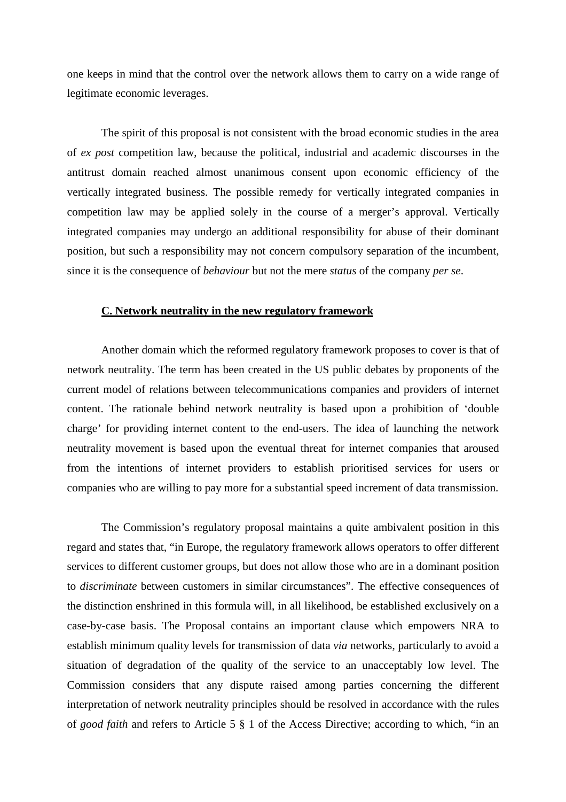one keeps in mind that the control over the network allows them to carry on a wide range of legitimate economic leverages.

The spirit of this proposal is not consistent with the broad economic studies in the area of *ex post* competition law, because the political, industrial and academic discourses in the antitrust domain reached almost unanimous consent upon economic efficiency of the vertically integrated business. The possible remedy for vertically integrated companies in competition law may be applied solely in the course of a merger's approval. Vertically integrated companies may undergo an additional responsibility for abuse of their dominant position, but such a responsibility may not concern compulsory separation of the incumbent, since it is the consequence of *behaviour* but not the mere *status* of the company *per se*.

#### **C. Network neutrality in the new regulatory framework**

Another domain which the reformed regulatory framework proposes to cover is that of network neutrality. The term has been created in the US public debates by proponents of the current model of relations between telecommunications companies and providers of internet content. The rationale behind network neutrality is based upon a prohibition of 'double charge' for providing internet content to the end-users. The idea of launching the network neutrality movement is based upon the eventual threat for internet companies that aroused from the intentions of internet providers to establish prioritised services for users or companies who are willing to pay more for a substantial speed increment of data transmission.

The Commission's regulatory proposal maintains a quite ambivalent position in this regard and states that, "in Europe, the regulatory framework allows operators to offer different services to different customer groups, but does not allow those who are in a dominant position to *discriminate* between customers in similar circumstances". The effective consequences of the distinction enshrined in this formula will, in all likelihood, be established exclusively on a case-by-case basis. The Proposal contains an important clause which empowers NRA to establish minimum quality levels for transmission of data *via* networks, particularly to avoid a situation of degradation of the quality of the service to an unacceptably low level. The Commission considers that any dispute raised among parties concerning the different interpretation of network neutrality principles should be resolved in accordance with the rules of *good faith* and refers to Article 5 § 1 of the Access Directive; according to which, "in an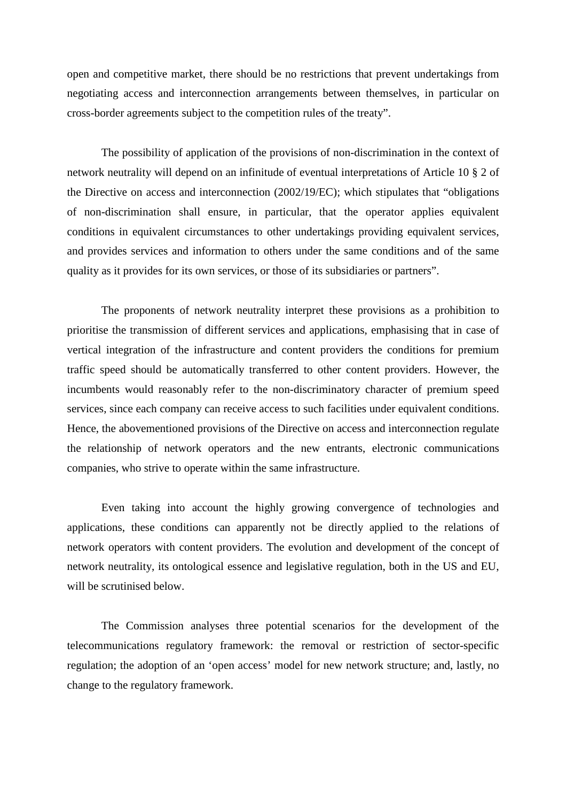open and competitive market, there should be no restrictions that prevent undertakings from negotiating access and interconnection arrangements between themselves, in particular on cross-border agreements subject to the competition rules of the treaty".

The possibility of application of the provisions of non-discrimination in the context of network neutrality will depend on an infinitude of eventual interpretations of Article 10 § 2 of the Directive on access and interconnection (2002/19/EC); which stipulates that "obligations of non-discrimination shall ensure, in particular, that the operator applies equivalent conditions in equivalent circumstances to other undertakings providing equivalent services, and provides services and information to others under the same conditions and of the same quality as it provides for its own services, or those of its subsidiaries or partners".

The proponents of network neutrality interpret these provisions as a prohibition to prioritise the transmission of different services and applications, emphasising that in case of vertical integration of the infrastructure and content providers the conditions for premium traffic speed should be automatically transferred to other content providers. However, the incumbents would reasonably refer to the non-discriminatory character of premium speed services, since each company can receive access to such facilities under equivalent conditions. Hence, the abovementioned provisions of the Directive on access and interconnection regulate the relationship of network operators and the new entrants, electronic communications companies, who strive to operate within the same infrastructure.

Even taking into account the highly growing convergence of technologies and applications, these conditions can apparently not be directly applied to the relations of network operators with content providers. The evolution and development of the concept of network neutrality, its ontological essence and legislative regulation, both in the US and EU, will be scrutinised below.

The Commission analyses three potential scenarios for the development of the telecommunications regulatory framework: the removal or restriction of sector-specific regulation; the adoption of an 'open access' model for new network structure; and, lastly, no change to the regulatory framework.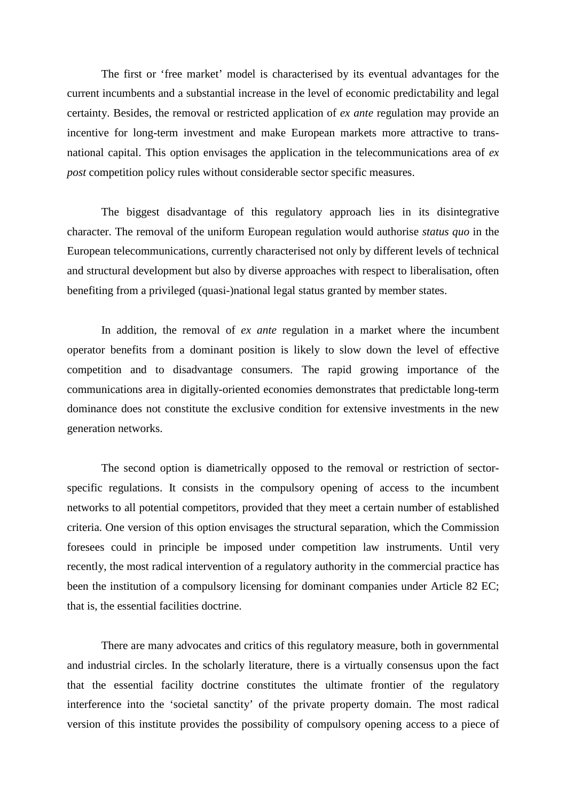The first or 'free market' model is characterised by its eventual advantages for the current incumbents and a substantial increase in the level of economic predictability and legal certainty. Besides, the removal or restricted application of *ex ante* regulation may provide an incentive for long-term investment and make European markets more attractive to transnational capital. This option envisages the application in the telecommunications area of *ex post* competition policy rules without considerable sector specific measures.

The biggest disadvantage of this regulatory approach lies in its disintegrative character. The removal of the uniform European regulation would authorise *status quo* in the European telecommunications, currently characterised not only by different levels of technical and structural development but also by diverse approaches with respect to liberalisation, often benefiting from a privileged (quasi-)national legal status granted by member states.

In addition, the removal of *ex ante* regulation in a market where the incumbent operator benefits from a dominant position is likely to slow down the level of effective competition and to disadvantage consumers. The rapid growing importance of the communications area in digitally-oriented economies demonstrates that predictable long-term dominance does not constitute the exclusive condition for extensive investments in the new generation networks.

The second option is diametrically opposed to the removal or restriction of sectorspecific regulations. It consists in the compulsory opening of access to the incumbent networks to all potential competitors, provided that they meet a certain number of established criteria. One version of this option envisages the structural separation, which the Commission foresees could in principle be imposed under competition law instruments. Until very recently, the most radical intervention of a regulatory authority in the commercial practice has been the institution of a compulsory licensing for dominant companies under Article 82 EC; that is, the essential facilities doctrine.

There are many advocates and critics of this regulatory measure, both in governmental and industrial circles. In the scholarly literature, there is a virtually consensus upon the fact that the essential facility doctrine constitutes the ultimate frontier of the regulatory interference into the 'societal sanctity' of the private property domain. The most radical version of this institute provides the possibility of compulsory opening access to a piece of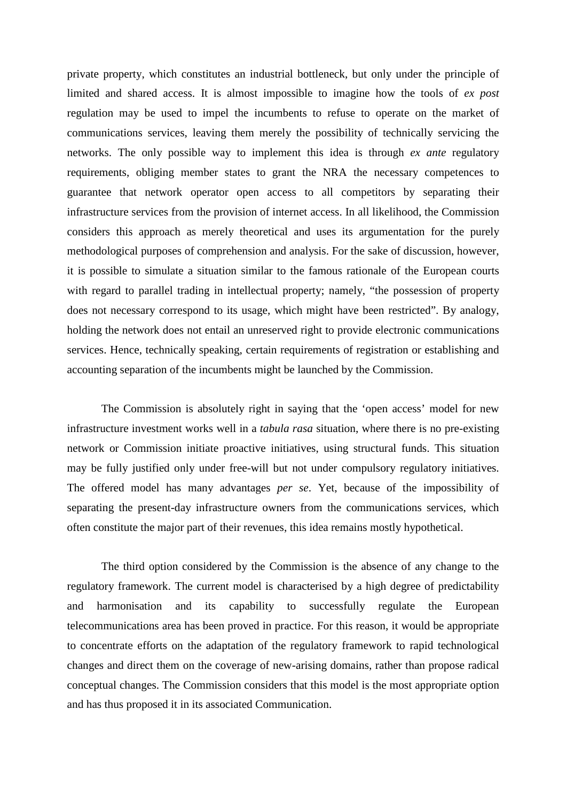private property, which constitutes an industrial bottleneck, but only under the principle of limited and shared access. It is almost impossible to imagine how the tools of *ex post* regulation may be used to impel the incumbents to refuse to operate on the market of communications services, leaving them merely the possibility of technically servicing the networks. The only possible way to implement this idea is through *ex ante* regulatory requirements, obliging member states to grant the NRA the necessary competences to guarantee that network operator open access to all competitors by separating their infrastructure services from the provision of internet access. In all likelihood, the Commission considers this approach as merely theoretical and uses its argumentation for the purely methodological purposes of comprehension and analysis. For the sake of discussion, however, it is possible to simulate a situation similar to the famous rationale of the European courts with regard to parallel trading in intellectual property; namely, "the possession of property does not necessary correspond to its usage, which might have been restricted". By analogy, holding the network does not entail an unreserved right to provide electronic communications services. Hence, technically speaking, certain requirements of registration or establishing and accounting separation of the incumbents might be launched by the Commission.

The Commission is absolutely right in saying that the 'open access' model for new infrastructure investment works well in a *tabula rasa* situation, where there is no pre-existing network or Commission initiate proactive initiatives, using structural funds. This situation may be fully justified only under free-will but not under compulsory regulatory initiatives. The offered model has many advantages *per se*. Yet, because of the impossibility of separating the present-day infrastructure owners from the communications services, which often constitute the major part of their revenues, this idea remains mostly hypothetical.

The third option considered by the Commission is the absence of any change to the regulatory framework. The current model is characterised by a high degree of predictability and harmonisation and its capability to successfully regulate the European telecommunications area has been proved in practice. For this reason, it would be appropriate to concentrate efforts on the adaptation of the regulatory framework to rapid technological changes and direct them on the coverage of new-arising domains, rather than propose radical conceptual changes. The Commission considers that this model is the most appropriate option and has thus proposed it in its associated Communication.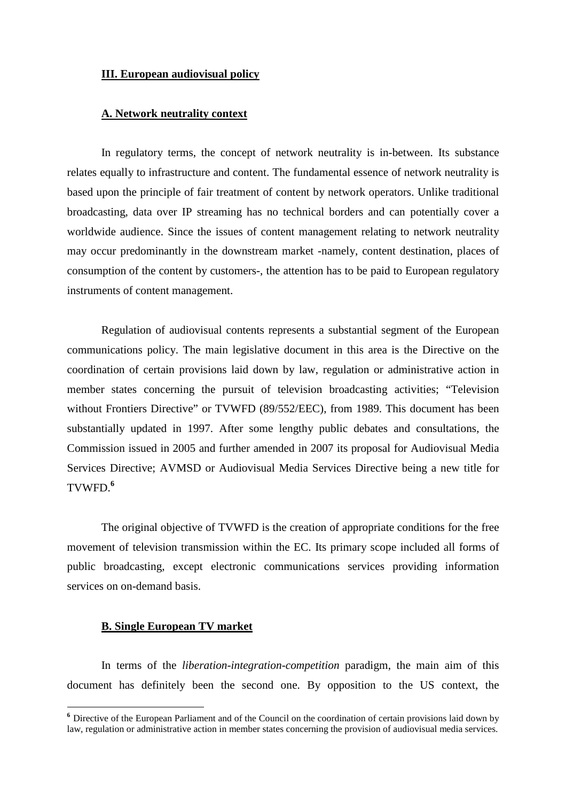## **III. European audiovisual policy**

# **A. Network neutrality context**

In regulatory terms, the concept of network neutrality is in-between. Its substance relates equally to infrastructure and content. The fundamental essence of network neutrality is based upon the principle of fair treatment of content by network operators. Unlike traditional broadcasting, data over IP streaming has no technical borders and can potentially cover a worldwide audience. Since the issues of content management relating to network neutrality may occur predominantly in the downstream market -namely, content destination, places of consumption of the content by customers-, the attention has to be paid to European regulatory instruments of content management.

Regulation of audiovisual contents represents a substantial segment of the European communications policy. The main legislative document in this area is the Directive on the coordination of certain provisions laid down by law, regulation or administrative action in member states concerning the pursuit of television broadcasting activities; "Television without Frontiers Directive" or TVWFD (89/552/EEC), from 1989. This document has been substantially updated in 1997. After some lengthy public debates and consultations, the Commission issued in 2005 and further amended in 2007 its proposal for Audiovisual Media Services Directive; AVMSD or Audiovisual Media Services Directive being a new title for TVWFD.**<sup>6</sup>**

The original objective of TVWFD is the creation of appropriate conditions for the free movement of television transmission within the EC. Its primary scope included all forms of public broadcasting, except electronic communications services providing information services on on-demand basis.

# **B. Single European TV market**

 $\overline{a}$ 

In terms of the *liberation-integration-competition* paradigm, the main aim of this document has definitely been the second one. By opposition to the US context, the

**<sup>6</sup>** Directive of the European Parliament and of the Council on the coordination of certain provisions laid down by law, regulation or administrative action in member states concerning the provision of audiovisual media services.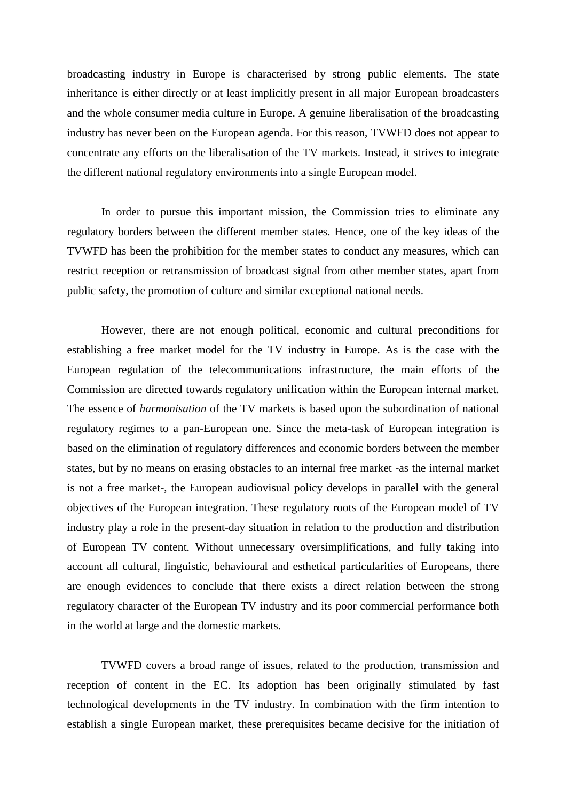broadcasting industry in Europe is characterised by strong public elements. The state inheritance is either directly or at least implicitly present in all major European broadcasters and the whole consumer media culture in Europe. A genuine liberalisation of the broadcasting industry has never been on the European agenda. For this reason, TVWFD does not appear to concentrate any efforts on the liberalisation of the TV markets. Instead, it strives to integrate the different national regulatory environments into a single European model.

In order to pursue this important mission, the Commission tries to eliminate any regulatory borders between the different member states. Hence, one of the key ideas of the TVWFD has been the prohibition for the member states to conduct any measures, which can restrict reception or retransmission of broadcast signal from other member states, apart from public safety, the promotion of culture and similar exceptional national needs.

However, there are not enough political, economic and cultural preconditions for establishing a free market model for the TV industry in Europe. As is the case with the European regulation of the telecommunications infrastructure, the main efforts of the Commission are directed towards regulatory unification within the European internal market. The essence of *harmonisation* of the TV markets is based upon the subordination of national regulatory regimes to a pan-European one. Since the meta-task of European integration is based on the elimination of regulatory differences and economic borders between the member states, but by no means on erasing obstacles to an internal free market -as the internal market is not a free market-, the European audiovisual policy develops in parallel with the general objectives of the European integration. These regulatory roots of the European model of TV industry play a role in the present-day situation in relation to the production and distribution of European TV content. Without unnecessary oversimplifications, and fully taking into account all cultural, linguistic, behavioural and esthetical particularities of Europeans, there are enough evidences to conclude that there exists a direct relation between the strong regulatory character of the European TV industry and its poor commercial performance both in the world at large and the domestic markets.

TVWFD covers a broad range of issues, related to the production, transmission and reception of content in the EC. Its adoption has been originally stimulated by fast technological developments in the TV industry. In combination with the firm intention to establish a single European market, these prerequisites became decisive for the initiation of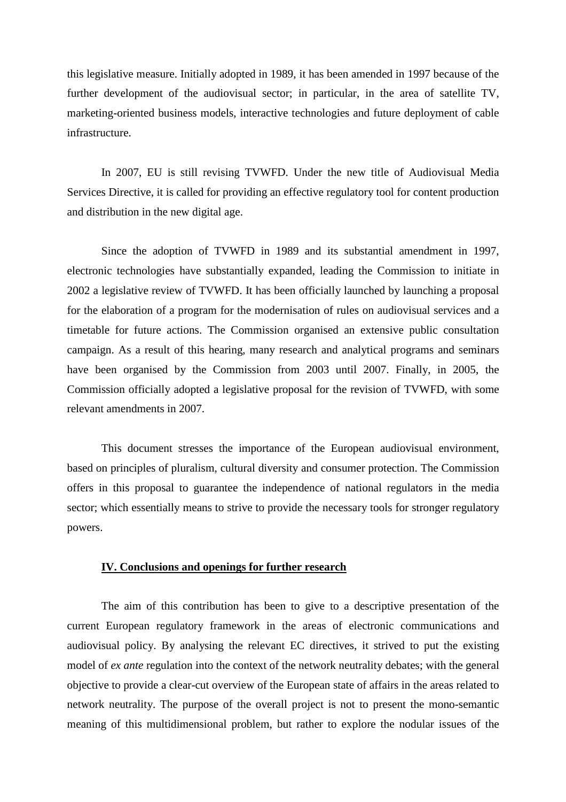this legislative measure. Initially adopted in 1989, it has been amended in 1997 because of the further development of the audiovisual sector; in particular, in the area of satellite TV, marketing-oriented business models, interactive technologies and future deployment of cable infrastructure.

In 2007, EU is still revising TVWFD. Under the new title of Audiovisual Media Services Directive, it is called for providing an effective regulatory tool for content production and distribution in the new digital age.

Since the adoption of TVWFD in 1989 and its substantial amendment in 1997, electronic technologies have substantially expanded, leading the Commission to initiate in 2002 a legislative review of TVWFD. It has been officially launched by launching a proposal for the elaboration of a program for the modernisation of rules on audiovisual services and a timetable for future actions. The Commission organised an extensive public consultation campaign. As a result of this hearing, many research and analytical programs and seminars have been organised by the Commission from 2003 until 2007. Finally, in 2005, the Commission officially adopted a legislative proposal for the revision of TVWFD, with some relevant amendments in 2007.

This document stresses the importance of the European audiovisual environment, based on principles of pluralism, cultural diversity and consumer protection. The Commission offers in this proposal to guarantee the independence of national regulators in the media sector; which essentially means to strive to provide the necessary tools for stronger regulatory powers.

#### **IV. Conclusions and openings for further research**

The aim of this contribution has been to give to a descriptive presentation of the current European regulatory framework in the areas of electronic communications and audiovisual policy. By analysing the relevant EC directives, it strived to put the existing model of *ex ante* regulation into the context of the network neutrality debates; with the general objective to provide a clear-cut overview of the European state of affairs in the areas related to network neutrality. The purpose of the overall project is not to present the mono-semantic meaning of this multidimensional problem, but rather to explore the nodular issues of the